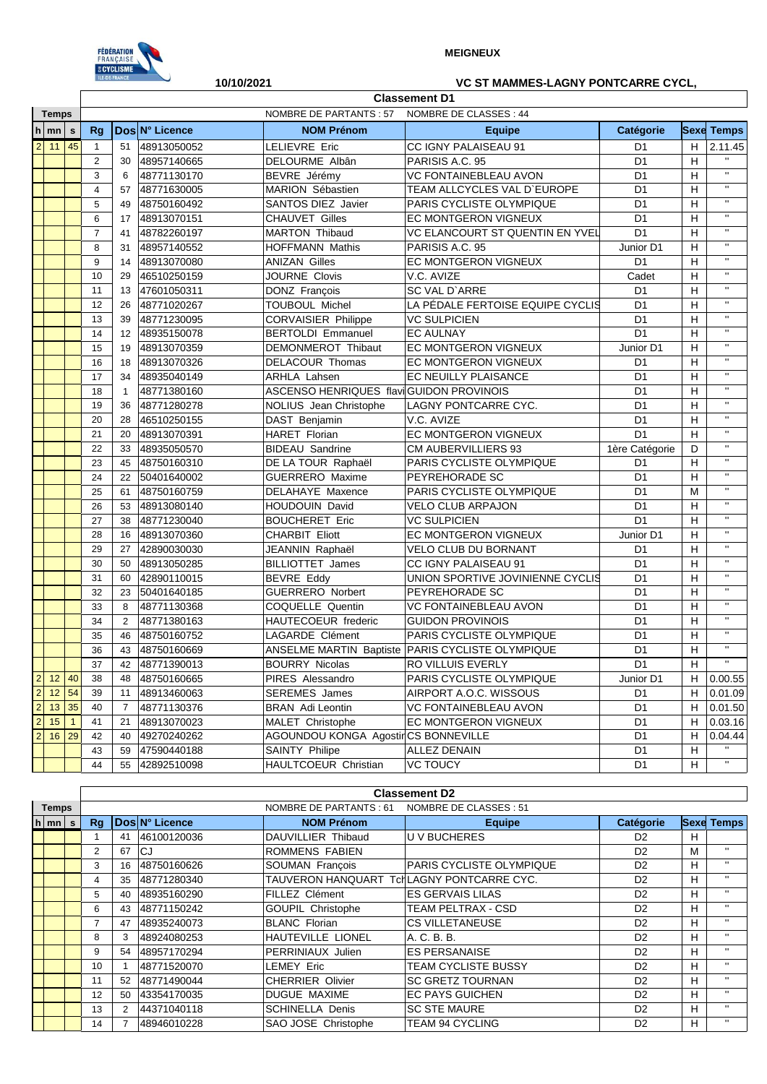

## **MEIGNEUX**

## **10/10/2021 VC ST MAMMES-LAGNY PONTCARRE CYCL,**

|                |                     |                |                |              |                | <b>Classement D1</b>                     |                                                  |                |    |                   |  |  |
|----------------|---------------------|----------------|----------------|--------------|----------------|------------------------------------------|--------------------------------------------------|----------------|----|-------------------|--|--|
|                | <b>Temps</b>        |                |                |              |                | <b>NOMBRE DE PARTANTS: 57</b>            | NOMBRE DE CLASSES : 44                           |                |    |                   |  |  |
|                | $h$ mn              | $\mathbf s$    | Rg             |              | Dos N° Licence | <b>NOM Prénom</b>                        | <b>Equipe</b>                                    | Catégorie      |    | <b>Sexe Temps</b> |  |  |
|                | $2 \mid 11 \mid 45$ |                | $\mathbf{1}$   | 51           | 48913050052    | LELIEVRE Eric                            | CC IGNY PALAISEAU 91                             | D <sub>1</sub> | H  | 2.11.45           |  |  |
|                |                     |                | $\overline{2}$ | 30           | 48957140665    | DELOURME Albân                           | PARISIS A.C. 95                                  | D <sub>1</sub> | Н  | $\mathbf{H}$      |  |  |
|                |                     |                | 3              | 6            | 48771130170    | BEVRE Jérémy                             | VC FONTAINEBLEAU AVON                            | D <sub>1</sub> | н  | $\mathbf{H}$      |  |  |
|                |                     |                | $\overline{4}$ | 57           | 48771630005    | <b>MARION Sébastien</b>                  | TEAM ALLCYCLES VAL D'EUROPE                      | D <sub>1</sub> | н  | $\mathbf{H}$      |  |  |
|                |                     |                | 5              | 49           | 48750160492    | <b>SANTOS DIEZ Javier</b>                | PARIS CYCLISTE OLYMPIQUE                         | D <sub>1</sub> | н  | $\mathbf{H}$      |  |  |
|                |                     |                | 6              | 17           | 48913070151    | <b>CHAUVET Gilles</b>                    | EC MONTGERON VIGNEUX                             | D <sub>1</sub> | н  | $\mathbf{H}$      |  |  |
|                |                     |                | $\overline{7}$ | 41           | 48782260197    | <b>MARTON Thibaud</b>                    | <b>VC ELANCOURT ST QUENTIN EN YVEL</b>           | D <sub>1</sub> | н  | $\mathbf{H}$      |  |  |
|                |                     |                | 8              | 31           | 48957140552    | <b>HOFFMANN Mathis</b>                   | PARISIS A.C. 95                                  | Junior D1      | н  | $\mathbf{H}$      |  |  |
|                |                     |                | 9              | 14           | 48913070080    | <b>ANIZAN Gilles</b>                     | EC MONTGERON VIGNEUX                             | D <sub>1</sub> | н  | $\mathbf{H}$      |  |  |
|                |                     |                | 10             | 29           | 46510250159    | <b>JOURNE Clovis</b>                     | V.C. AVIZE                                       | Cadet          | H  | $\mathbf{H}$      |  |  |
|                |                     |                | 11             | 13           | 47601050311    | DONZ François                            | SC VAL D'ARRE                                    | D <sub>1</sub> | н  | $\mathbf{H}$      |  |  |
|                |                     |                | 12             | 26           | 48771020267    | <b>TOUBOUL Michel</b>                    | LA PÉDALE FERTOISE EQUIPE CYCLIS                 | D <sub>1</sub> | н  | $\mathbf{H}$      |  |  |
|                |                     |                | 13             | 39           | 48771230095    | <b>CORVAISIER Philippe</b>               | <b>VC SULPICIEN</b>                              | D <sub>1</sub> | н  | $\mathbf{H}$      |  |  |
|                |                     |                | 14             | 12           | 48935150078    | <b>BERTOLDI Emmanuel</b>                 | <b>EC AULNAY</b>                                 | D <sub>1</sub> | H  | $\mathbf{H}$      |  |  |
|                |                     |                | 15             | 19           | 48913070359    | DEMONMEROT Thibaut                       | <b>EC MONTGERON VIGNEUX</b>                      | Junior D1      | н  | $\mathbf{H}$      |  |  |
|                |                     |                | 16             | 18           | 48913070326    | DELACOUR Thomas                          | EC MONTGERON VIGNEUX                             | D <sub>1</sub> | н  | $\mathbf{H}$      |  |  |
|                |                     |                | 17             | 34           | 48935040149    | <b>ARHLA Lahsen</b>                      | <b>EC NEUILLY PLAISANCE</b>                      | D <sub>1</sub> | H  | $\mathbf{H}$      |  |  |
|                |                     |                | 18             | $\mathbf{1}$ | 48771380160    | ASCENSO HENRIQUES flavi GUIDON PROVINOIS |                                                  | D <sub>1</sub> | н  | $\mathbf{H}$      |  |  |
|                |                     |                | 19             | 36           | 48771280278    | NOLIUS Jean Christophe                   | LAGNY PONTCARRE CYC.                             | D <sub>1</sub> | н  | $\mathbf{H}$      |  |  |
|                |                     |                | 20             | 28           | 46510250155    | DAST Benjamin                            | V.C. AVIZE                                       | D <sub>1</sub> | Н  | $\mathbf{H}$      |  |  |
|                |                     |                | 21             | 20           | 48913070391    | HARET Florian                            | EC MONTGERON VIGNEUX                             | D <sub>1</sub> | H  | $\mathbf{H}$      |  |  |
|                |                     |                | 22             | 33           | 48935050570    | <b>BIDEAU Sandrine</b>                   | <b>CM AUBERVILLIERS 93</b>                       | 1ère Catégorie | D  | $\mathbf{H}$      |  |  |
|                |                     |                | 23             | 45           | 48750160310    | DE LA TOUR Raphaël                       | PARIS CYCLISTE OLYMPIQUE                         | D <sub>1</sub> | н  | $\mathbf{H}$      |  |  |
|                |                     |                | 24             | 22           | 50401640002    | <b>GUERRERO</b> Maxime                   | PEYREHORADE SC                                   | D <sub>1</sub> | н  | $\mathbf{H}$      |  |  |
|                |                     |                | 25             | 61           | 48750160759    | <b>DELAHAYE Maxence</b>                  | PARIS CYCLISTE OLYMPIQUE                         | D <sub>1</sub> | M  | $\mathbf{H}$      |  |  |
|                |                     |                | 26             | 53           | 48913080140    | <b>HOUDOUIN David</b>                    | <b>VELO CLUB ARPAJON</b>                         | D <sub>1</sub> | н  | $\mathbf{H}$      |  |  |
|                |                     |                | 27             | 38           | 48771230040    | <b>BOUCHERET Eric</b>                    | <b>VC SULPICIEN</b>                              | D <sub>1</sub> | н  | $\mathbf{H}$      |  |  |
|                |                     |                | 28             | 16           | 48913070360    | <b>CHARBIT Eliott</b>                    | EC MONTGERON VIGNEUX                             | Junior D1      | H  | $\mathbf{H}$      |  |  |
|                |                     |                | 29             | 27           | 42890030030    | JEANNIN Raphaël                          | <b>VELO CLUB DU BORNANT</b>                      | D <sub>1</sub> | н  | $\mathbf{H}$      |  |  |
|                |                     |                | 30             | 50           | 48913050285    | <b>BILLIOTTET James</b>                  | CC IGNY PALAISEAU 91                             | D <sub>1</sub> | H  | $\mathbf{H}$      |  |  |
|                |                     |                | 31             | 60           | 42890110015    | <b>BEVRE Eddy</b>                        | UNION SPORTIVE JOVINIENNE CYCLIS                 | D <sub>1</sub> | н  | $\mathbf{H}$      |  |  |
|                |                     |                | 32             | 23           | 50401640185    | <b>GUERRERO Norbert</b>                  | PEYREHORADE SC                                   | D <sub>1</sub> | н  | $\mathbf{H}$      |  |  |
|                |                     |                | 33             | 8            | 48771130368    | COQUELLE Quentin                         | VC FONTAINEBLEAU AVON                            | D <sub>1</sub> | H  | $\mathbf{H}$      |  |  |
|                |                     |                | 34             | 2            | 48771380163    | HAUTECOEUR frederic                      | <b>GUIDON PROVINOIS</b>                          | D <sub>1</sub> | н  | $\mathbf{H}$      |  |  |
|                |                     |                | 35             | 46           | 48750160752    | LAGARDE Clément                          | PARIS CYCLISTE OLYMPIQUE                         | D <sub>1</sub> | H  | $\mathbf{H}$      |  |  |
|                |                     |                | 36             | 43           | 48750160669    |                                          | ANSELME MARTIN Baptiste PARIS CYCLISTE OLYMPIQUE | D <sub>1</sub> | н  | $\mathbf{H}$      |  |  |
|                |                     |                | 37             | 42           | 48771390013    | <b>BOURRY Nicolas</b>                    | <b>RO VILLUIS EVERLY</b>                         | D <sub>1</sub> | H  | $\mathbf{H}$      |  |  |
|                |                     |                | 38             | 48           | 48750160665    | PIRES Alessandro                         | PARIS CYCLISTE OLYMPIQUE                         | Junior D1      | Н. | 0.00.55           |  |  |
|                | 2 12 40<br>2 12 54  |                | 39             | 11           | 48913460063    | SEREMES James                            | AIRPORT A.O.C. WISSOUS                           | D <sub>1</sub> | H. | 0.01.09           |  |  |
| $\overline{2}$ | 13                  | 35             | 40             | 7            | 48771130376    | <b>BRAN</b> Adi Leontin                  | VC FONTAINEBLEAU AVON                            | D <sub>1</sub> | H  | 0.01.50           |  |  |
| $\overline{2}$ | 15                  | $\overline{1}$ | 41             | 21           | 48913070023    | MALET Christophe                         | EC MONTGERON VIGNEUX                             | D <sub>1</sub> | н  | 0.03.16           |  |  |
| $\overline{2}$ | 16                  | 29             | 42             | 40           | 49270240262    | AGOUNDOU KONGA AgostirCS BONNEVILLE      |                                                  | D <sub>1</sub> | н  | 0.04.44           |  |  |
|                |                     |                | 43             | 59           | 47590440188    | SAINTY Philipe                           | <b>ALLEZ DENAIN</b>                              | D <sub>1</sub> | н  | $\mathbf{H}$      |  |  |
|                |                     |                | 44             | 55           | 42892510098    | HAULTCOEUR Christian                     | <b>VC TOUCY</b>                                  | D <sub>1</sub> | н  | $\mathbf{H}$      |  |  |

|  |                    |                |                                                   |                |                                           | <b>Classement D2</b>             |                |   |                   |  |  |
|--|--------------------|----------------|---------------------------------------------------|----------------|-------------------------------------------|----------------------------------|----------------|---|-------------------|--|--|
|  | <b>Temps</b>       |                | NOMBRE DE CLASSES : 51<br>NOMBRE DE PARTANTS : 61 |                |                                           |                                  |                |   |                   |  |  |
|  | $h \mid mn \mid s$ | Rq             |                                                   | Dos N° Licence | <b>NOM Prénom</b>                         | <b>Equipe</b>                    | Catégorie      |   | <b>Sexe Temps</b> |  |  |
|  |                    |                | 41                                                | 46100120036    | DAUVILLIER Thibaud                        | <b>IU V BUCHERES</b>             | D <sub>2</sub> | н |                   |  |  |
|  |                    | $\overline{2}$ | 67                                                | CJ.            | ROMMENS FABIEN                            |                                  | D <sub>2</sub> | M | $\mathbf{H}$      |  |  |
|  |                    | 3              | 16                                                | 48750160626    | SOUMAN François                           | <b>IPARIS CYCLISTE OLYMPIQUE</b> | D <sub>2</sub> | H | $\mathbf{H}$      |  |  |
|  |                    | 4              | 35                                                | 48771280340    | TAUVERON HANQUART TchLAGNY PONTCARRE CYC. |                                  | D <sub>2</sub> | H | $\mathbf{H}$      |  |  |
|  |                    | 5              | 40                                                | 48935160290    | FILLEZ Clément                            | <b>ES GERVAIS LILAS</b>          | D <sub>2</sub> | н | $\mathbf{H}$      |  |  |
|  |                    | 6              | 43                                                | 48771150242    | GOUPIL Christophe                         | <b>TEAM PELTRAX - CSD</b>        | D <sub>2</sub> | H | $\mathbf{H}$      |  |  |
|  |                    |                | 47                                                | 48935240073    | <b>BLANC Florian</b>                      | <b>CS VILLETANEUSE</b>           | D <sub>2</sub> | H | $\mathbf{H}$      |  |  |
|  |                    | 8              | 3                                                 | 48924080253    | HAUTEVILLE LIONEL                         | A. C. B. B.                      | D <sub>2</sub> | H | $\mathbf{H}$      |  |  |
|  |                    | 9              | 54                                                | 48957170294    | PERRINIAUX Julien                         | <b>ES PERSANAISE</b>             | D <sub>2</sub> | н | $\mathbf{H}$      |  |  |
|  |                    | 10             |                                                   | 48771520070    | LEMEY Eric                                | <b>TEAM CYCLISTE BUSSY</b>       | D <sub>2</sub> | н | $\mathbf{H}$      |  |  |
|  |                    | 11             | 52                                                | 48771490044    | <b>CHERRIER Olivier</b>                   | <b>SC GRETZ TOURNAN</b>          | D <sub>2</sub> | H | $\mathbf{H}$      |  |  |
|  |                    | 12             | 50                                                | 43354170035    | DUGUE MAXIME                              | <b>IEC PAYS GUICHEN</b>          | D <sub>2</sub> | H | $\mathbf{H}$      |  |  |
|  |                    | 13             | 2                                                 | 44371040118    | <b>SCHINELLA Denis</b>                    | <b>SC STE MAURE</b>              | D <sub>2</sub> | H | $\mathbf{H}$      |  |  |
|  |                    | 14             |                                                   | 48946010228    | SAO JOSE Christophe                       | <b>TEAM 94 CYCLING</b>           | D <sub>2</sub> | H | $\mathbf{H}$      |  |  |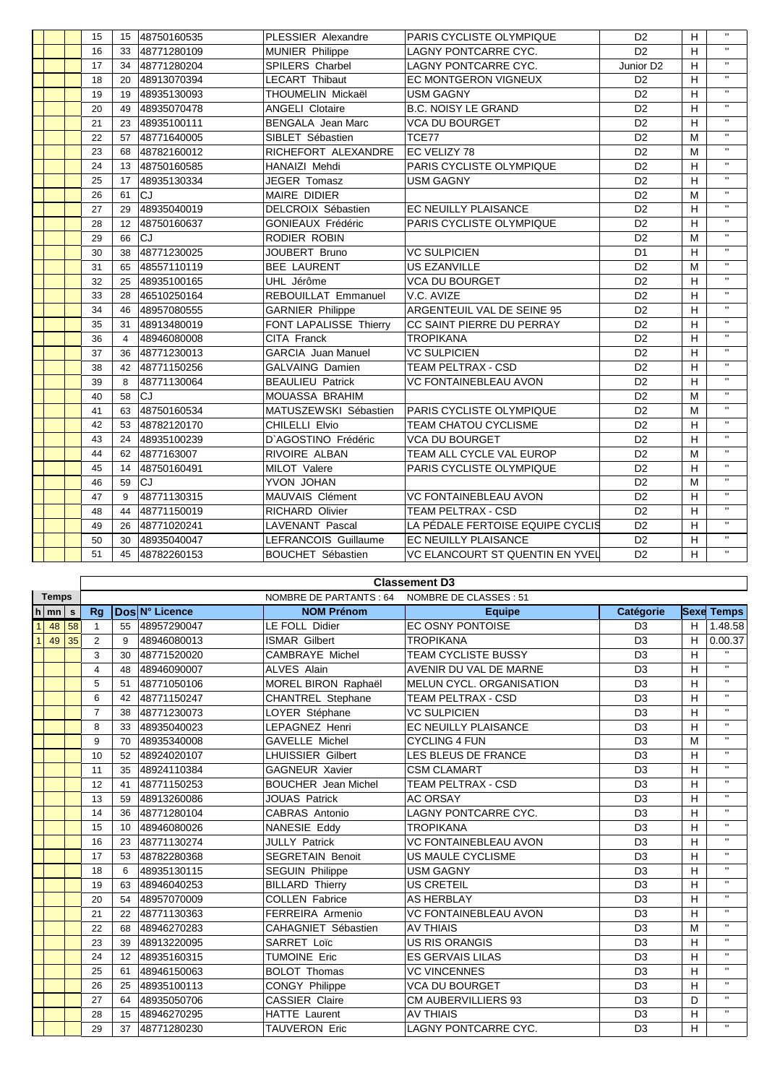|  | 15 | 15             | 48750160535 | PLESSIER Alexandre          | PARIS CYCLISTE OLYMPIQUE         | D <sub>2</sub>        | H | $\mathbf{H}$   |
|--|----|----------------|-------------|-----------------------------|----------------------------------|-----------------------|---|----------------|
|  | 16 | 33             | 48771280109 | <b>MUNIER Philippe</b>      | <b>LAGNY PONTCARRE CYC.</b>      | D <sub>2</sub>        | H | $\mathbf{H}$   |
|  | 17 | 34             | 48771280204 | SPILERS Charbel             | LAGNY PONTCARRE CYC.             | Junior D <sub>2</sub> | H | $\mathbf{H}$   |
|  | 18 | 20             | 48913070394 | <b>LECART Thibaut</b>       | <b>EC MONTGERON VIGNEUX</b>      | D <sub>2</sub>        | н | $\mathbf{H}$   |
|  | 19 | 19             | 48935130093 | THOUMELIN Mickaël           | <b>USM GAGNY</b>                 | D <sub>2</sub>        | H | $\overline{u}$ |
|  | 20 | 49             | 48935070478 | <b>ANGELI Clotaire</b>      | <b>B.C. NOISY LE GRAND</b>       | D <sub>2</sub>        | H | $\mathbf{H}$   |
|  | 21 | 23             | 48935100111 | <b>BENGALA</b> Jean Marc    | <b>VCA DU BOURGET</b>            | D <sub>2</sub>        | H | $\mathbf{H}$   |
|  | 22 | 57             | 48771640005 | SIBLET Sébastien            | TCE77                            | D <sub>2</sub>        | M | $\mathbf{H}$   |
|  | 23 | 68             | 48782160012 | RICHEFORT ALEXANDRE         | <b>EC VELIZY 78</b>              | D <sub>2</sub>        | M | $\mathbf{H}$   |
|  | 24 | 13             | 48750160585 | <b>HANAIZI Mehdi</b>        | PARIS CYCLISTE OLYMPIQUE         | D <sub>2</sub>        | н | $\mathbf{H}$   |
|  | 25 | 17             | 48935130334 | <b>JEGER Tomasz</b>         | <b>USM GAGNY</b>                 | D <sub>2</sub>        | H | $\mathbf{H}$   |
|  | 26 | 61             | CJ          | <b>MAIRE DIDIER</b>         |                                  | D <sub>2</sub>        | M | $\mathbf{H}$   |
|  | 27 | 29             | 48935040019 | DELCROIX Sébastien          | EC NEUILLY PLAISANCE             | D <sub>2</sub>        | H | $\mathbf{H}$   |
|  | 28 | 12             | 48750160637 | <b>GONIEAUX Frédéric</b>    | PARIS CYCLISTE OLYMPIQUE         | D <sub>2</sub>        | H | $\mathbf{H}$   |
|  | 29 | 66             | CJ          | RODIER ROBIN                |                                  | D <sub>2</sub>        | M | $\mathbf{H}$   |
|  | 30 | 38             | 48771230025 | JOUBERT Bruno               | <b>VC SULPICIEN</b>              | D <sub>1</sub>        | H | $\mathbf{u}$   |
|  | 31 | 65             | 48557110119 | <b>BEE LAURENT</b>          | <b>US EZANVILLE</b>              | D <sub>2</sub>        | M | $\mathbf{H}$   |
|  | 32 | 25             | 48935100165 | UHL Jérôme                  | <b>VCA DU BOURGET</b>            | D <sub>2</sub>        | H | $\mathbf{H}$   |
|  | 33 | 28             | 46510250164 | REBOUILLAT Emmanuel         | V.C. AVIZE                       | D <sub>2</sub>        | H | $\mathbf{H}$   |
|  | 34 | 46             | 48957080555 | <b>GARNIER Philippe</b>     | ARGENTEUIL VAL DE SEINE 95       | D <sub>2</sub>        | H | $\mathbf{u}$   |
|  | 35 | 31             | 48913480019 | FONT LAPALISSE Thierry      | CC SAINT PIERRE DU PERRAY        | D <sub>2</sub>        | н | $\mathbf{H}$   |
|  | 36 | $\overline{4}$ | 48946080008 | CITA Franck                 | <b>TROPIKANA</b>                 | D <sub>2</sub>        | H | $\mathbf{H}$   |
|  | 37 | 36             | 48771230013 | <b>GARCIA Juan Manuel</b>   | <b>VC SULPICIEN</b>              | D <sub>2</sub>        | H | $\mathbf{H}$   |
|  | 38 | 42             | 48771150256 | <b>GALVAING Damien</b>      | TEAM PELTRAX - CSD               | D <sub>2</sub>        | H | $\mathbf{H}$   |
|  | 39 | 8              | 48771130064 | <b>BEAULIEU Patrick</b>     | <b>VC FONTAINEBLEAU AVON</b>     | D <sub>2</sub>        | H | $\mathbf{H}$   |
|  | 40 | 58             | CJ          | <b>MOUASSA BRAHIM</b>       |                                  | D <sub>2</sub>        | M | $\mathbf{H}$   |
|  | 41 | 63             | 48750160534 | MATUSZEWSKI Sébastien       | <b>PARIS CYCLISTE OLYMPIQUE</b>  | D <sub>2</sub>        | M | $\mathbf{H}$   |
|  | 42 | 53             | 48782120170 | CHILELLI Elvio              | <b>TEAM CHATOU CYCLISME</b>      | D <sub>2</sub>        | H | $\mathbf{H}$   |
|  | 43 | 24             | 48935100239 | D'AGOSTINO Frédéric         | <b>VCA DU BOURGET</b>            | D <sub>2</sub>        | H | $\mathbf{H}$   |
|  | 44 | 62             | 4877163007  | RIVOIRE ALBAN               | TEAM ALL CYCLE VAL EUROP         | D <sub>2</sub>        | M | $\mathbf{H}$   |
|  | 45 | 14             | 48750160491 | MILOT Valere                | PARIS CYCLISTE OLYMPIQUE         | D <sub>2</sub>        | H | $\mathbf{H}$   |
|  | 46 | 59             | <b>CJ</b>   | YVON JOHAN                  |                                  | D <sub>2</sub>        | M | $\mathbf{H}$   |
|  | 47 | 9              | 48771130315 | MAUVAIS Clément             | <b>VC FONTAINEBLEAU AVON</b>     | D <sub>2</sub>        | H | $\mathbf{H}$   |
|  | 48 | 44             | 48771150019 | RICHARD Olivier             | <b>TEAM PELTRAX - CSD</b>        | D <sub>2</sub>        | H | $\mathbf{H}$   |
|  | 49 | 26             | 48771020241 | <b>LAVENANT Pascal</b>      | LA PÉDALE FERTOISE EQUIPE CYCLIS | D <sub>2</sub>        | H | $\mathbf{H}$   |
|  | 50 | 30             | 48935040047 | <b>LEFRANCOIS Guillaume</b> | <b>EC NEUILLY PLAISANCE</b>      | D <sub>2</sub>        | H | $\mathbf{H}$   |
|  | 51 | 45             | 48782260153 | <b>BOUCHET Sébastien</b>    | VC ELANCOURT ST QUENTIN EN YVEL  | D <sub>2</sub>        | н | $\mathbf{H}$   |
|  |    |                |             |                             |                                  |                       |   |                |

|              |                    |    |                |                                                  |                |                            | <b>Classement D3</b>         |                |   |                    |  |  |  |  |
|--------------|--------------------|----|----------------|--------------------------------------------------|----------------|----------------------------|------------------------------|----------------|---|--------------------|--|--|--|--|
|              | <b>Temps</b>       |    |                | NOMBRE DE PARTANTS : 64<br>NOMBRE DE CLASSES: 51 |                |                            |                              |                |   |                    |  |  |  |  |
|              | $h \mid mn \mid s$ |    | Rq             |                                                  | Dos N° Licence | <b>NOM Prénom</b>          | <b>Equipe</b>                | Catégorie      |   | <b>Sexe Temps</b>  |  |  |  |  |
| $\mathbf{1}$ | 48                 | 58 | $\mathbf{1}$   | 55                                               | 48957290047    | <b>LE FOLL Didier</b>      | <b>EC OSNY PONTOISE</b>      | D <sub>3</sub> | H | 1.48.58            |  |  |  |  |
| $\mathbf{1}$ | 49                 | 35 | 2              | 9                                                | 48946080013    | <b>ISMAR Gilbert</b>       | <b>TROPIKANA</b>             | D <sub>3</sub> | н | 0.00.37            |  |  |  |  |
|              |                    |    | 3              | 30                                               | 48771520020    | <b>CAMBRAYE Michel</b>     | <b>TEAM CYCLISTE BUSSY</b>   | D <sub>3</sub> | H | $\mathbf{H}$       |  |  |  |  |
|              |                    |    | 4              | 48                                               | 48946090007    | <b>ALVES Alain</b>         | AVENIR DU VAL DE MARNE       | D <sub>3</sub> | H | $\mathbf{H}$       |  |  |  |  |
|              |                    |    | 5              | 51                                               | 48771050106    | MOREL BIRON Raphaël        | MELUN CYCL. ORGANISATION     | D <sub>3</sub> | H | $\mathbf{H}$       |  |  |  |  |
|              |                    |    | 6              | 42                                               | 48771150247    | CHANTREL Stephane          | TEAM PELTRAX - CSD           | D <sub>3</sub> | H | $\bar{\mathbf{u}}$ |  |  |  |  |
|              |                    |    | $\overline{7}$ | 38                                               | 48771230073    | LOYER Stéphane             | <b>VC SULPICIEN</b>          | D <sub>3</sub> | H | $\mathbf{H}$       |  |  |  |  |
|              |                    |    | 8              | 33                                               | 48935040023    | LEPAGNEZ Henri             | <b>EC NEUILLY PLAISANCE</b>  | D <sub>3</sub> | H | $\mathbf{H}$       |  |  |  |  |
|              |                    |    | 9              | 70                                               | 48935340008    | <b>GAVELLE Michel</b>      | <b>CYCLING 4 FUN</b>         | D <sub>3</sub> | M | $\mathbf{H}$       |  |  |  |  |
|              |                    |    | 10             | 52                                               | 48924020107    | <b>LHUISSIER Gilbert</b>   | LES BLEUS DE FRANCE          | D <sub>3</sub> | H | $\mathbf{H}$       |  |  |  |  |
|              |                    |    | 11             | 35                                               | 48924110384    | <b>GAGNEUR Xavier</b>      | <b>CSM CLAMART</b>           | D <sub>3</sub> | H | $\mathbf{H}$       |  |  |  |  |
|              |                    |    | 12             | 41                                               | 48771150253    | <b>BOUCHER</b> Jean Michel | TEAM PELTRAX - CSD           | D <sub>3</sub> | H | $\mathbf{H}$       |  |  |  |  |
|              |                    |    | 13             | 59                                               | 48913260086    | <b>JOUAS Patrick</b>       | <b>AC ORSAY</b>              | D <sub>3</sub> | H | $\mathbf{H}$       |  |  |  |  |
|              |                    |    | 14             | 36                                               | 48771280104    | CABRAS Antonio             | <b>LAGNY PONTCARRE CYC.</b>  | D <sub>3</sub> | н | $\mathbf{H}$       |  |  |  |  |
|              |                    |    | 15             | 10                                               | 48946080026    | <b>NANESIE Eddy</b>        | <b>TROPIKANA</b>             | D <sub>3</sub> | H | $\mathbf{u}$       |  |  |  |  |
|              |                    |    | 16             | 23                                               | 48771130274    | <b>JULLY Patrick</b>       | <b>VC FONTAINEBLEAU AVON</b> | D <sub>3</sub> | H | $\bar{\mathbf{H}}$ |  |  |  |  |
|              |                    |    | 17             | 53                                               | 48782280368    | <b>SEGRETAIN Benoit</b>    | <b>US MAULE CYCLISME</b>     | D <sub>3</sub> | н | $\mathbf{H}$       |  |  |  |  |
|              |                    |    | 18             | 6                                                | 48935130115    | <b>SEGUIN Philippe</b>     | <b>USM GAGNY</b>             | D <sub>3</sub> | H | $\mathbf{H}$       |  |  |  |  |
|              |                    |    | 19             | 63                                               | 48946040253    | <b>BILLARD Thierry</b>     | <b>US CRETEIL</b>            | D <sub>3</sub> | н | $\mathbf{H}$       |  |  |  |  |
|              |                    |    | 20             | 54                                               | 48957070009    | <b>COLLEN Fabrice</b>      | <b>AS HERBLAY</b>            | D <sub>3</sub> | H | $\mathbf{H}$       |  |  |  |  |
|              |                    |    | 21             | 22                                               | 48771130363    | FERREIRA Armenio           | <b>VC FONTAINEBLEAU AVON</b> | D <sub>3</sub> | н | $\mathbf{H}$       |  |  |  |  |
|              |                    |    | 22             | 68                                               | 48946270283    | CAHAGNIET Sébastien        | <b>AV THIAIS</b>             | D <sub>3</sub> | M | $\mathbf{u}$       |  |  |  |  |
|              |                    |    | 23             | 39                                               | 48913220095    | <b>SARRET Loïc</b>         | <b>US RIS ORANGIS</b>        | D <sub>3</sub> | H | $\bar{\mathbf{u}}$ |  |  |  |  |
|              |                    |    | 24             | 12                                               | 48935160315    | <b>TUMOINE Eric</b>        | <b>ES GERVAIS LILAS</b>      | D <sub>3</sub> | н | $\mathbf{H}$       |  |  |  |  |
|              |                    |    | 25             | 61                                               | 48946150063    | <b>BOLOT Thomas</b>        | <b>VC VINCENNES</b>          | D <sub>3</sub> | H | $\mathbf{H}$       |  |  |  |  |
|              |                    |    | 26             | 25                                               | 48935100113    | <b>CONGY Philippe</b>      | <b>VCA DU BOURGET</b>        | D <sub>3</sub> | H | $\mathbf{H}$       |  |  |  |  |
|              |                    |    | 27             | 64                                               | 48935050706    | <b>CASSIER Claire</b>      | CM AUBERVILLIERS 93          | D <sub>3</sub> | D | $\mathbf{H}$       |  |  |  |  |
|              |                    |    | 28             | 15                                               | 48946270295    | HATTE Laurent              | <b>AV THIAIS</b>             | D <sub>3</sub> | H | $\mathbf{H}$       |  |  |  |  |
|              |                    |    | 29             | 37                                               | 48771280230    | <b>TAUVERON Eric</b>       | LAGNY PONTCARRE CYC.         | D <sub>3</sub> | H | $\mathbf{H}$       |  |  |  |  |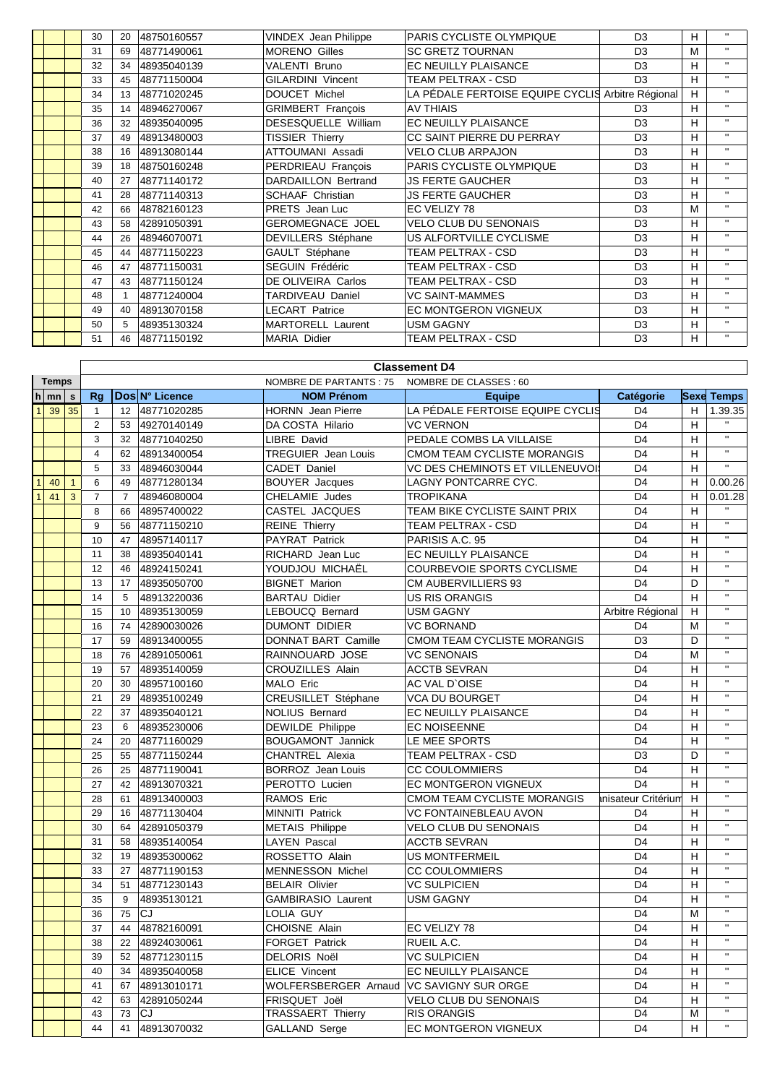|  | 30 | 20 | 48750160557 | <b>VINDEX</b> Jean Philippe | PARIS CYCLISTE OLYMPIQUE                          | D <sub>3</sub> | н | $\mathbf{H}$ |
|--|----|----|-------------|-----------------------------|---------------------------------------------------|----------------|---|--------------|
|  | 31 | 69 | 48771490061 | <b>MORENO Gilles</b>        | <b>SC GRETZ TOURNAN</b>                           | D <sub>3</sub> | M | $\mathbf{H}$ |
|  | 32 | 34 | 48935040139 | <b>VALENTI Bruno</b>        | EC NEUILLY PLAISANCE                              | D <sub>3</sub> | н | $\mathbf{u}$ |
|  | 33 | 45 | 48771150004 | <b>GILARDINI Vincent</b>    | TEAM PELTRAX - CSD                                | D <sub>3</sub> | н | $\mathbf{H}$ |
|  | 34 |    | 48771020245 | DOUCET Michel               | LA PÉDALE FERTOISE EQUIPE CYCLIS Arbitre Régional |                | H | $\mathbf{H}$ |
|  | 35 | 14 | 48946270067 | <b>GRIMBERT Francois</b>    | <b>AV THIAIS</b>                                  | D <sub>3</sub> | H | $\mathbf{H}$ |
|  | 36 | 32 | 48935040095 | DESESQUELLE William         | EC NEUILLY PLAISANCE                              | D <sub>3</sub> | н | $\mathbf{H}$ |
|  | 37 | 49 | 48913480003 | <b>TISSIER Thierry</b>      | CC SAINT PIERRE DU PERRAY                         | D <sub>3</sub> | н | $\mathbf{H}$ |
|  | 38 | 16 | 48913080144 | ATTOUMANI Assadi            | <b>VELO CLUB ARPAJON</b>                          | D <sub>3</sub> | н | $\mathbf{H}$ |
|  | 39 | 18 | 48750160248 | PERDRIEAU Francois          | <b>PARIS CYCLISTE OLYMPIQUE</b>                   | D <sub>3</sub> | н | $\mathbf{H}$ |
|  | 40 | 27 | 48771140172 | DARDAILLON Bertrand         | <b>JS FERTE GAUCHER</b>                           | D <sub>3</sub> | н | $\mathbf{u}$ |
|  | 41 | 28 | 48771140313 | <b>SCHAAF Christian</b>     | <b>JS FERTE GAUCHER</b>                           | D <sub>3</sub> | H | $\mathbf{H}$ |
|  | 42 | 66 | 48782160123 | PRETS Jean Luc              | EC VELIZY 78                                      | D <sub>3</sub> | M | $\mathbf{H}$ |
|  | 43 | 58 | 42891050391 | <b>GEROMEGNACE JOEL</b>     | <b>VELO CLUB DU SENONAIS</b>                      | D <sub>3</sub> | н | $\mathbf{H}$ |
|  | 44 | 26 | 48946070071 | DEVILLERS Stéphane          | US ALFORTVILLE CYCLISME                           | D <sub>3</sub> | н | $\mathbf{H}$ |
|  | 45 | 44 | 48771150223 | GAULT Stéphane              | TEAM PELTRAX - CSD                                | D <sub>3</sub> | н | $\mathbf{H}$ |
|  | 46 | 47 | 48771150031 | SEGUIN Frédéric             | TEAM PELTRAX - CSD                                | D <sub>3</sub> | н | $\mathbf{H}$ |
|  | 47 | 43 | 48771150124 | DE OLIVEIRA Carlos          | TEAM PELTRAX - CSD                                | D <sub>3</sub> | н | $\mathbf{H}$ |
|  | 48 |    | 48771240004 | TARDIVEAU Daniel            | <b>VC SAINT-MAMMES</b>                            | D <sub>3</sub> | н | $\mathbf{H}$ |
|  | 49 | 40 | 48913070158 | <b>LECART Patrice</b>       | <b>EC MONTGERON VIGNEUX</b>                       | D <sub>3</sub> | н | $\mathbf{H}$ |
|  | 50 | 5  | 48935130324 | MARTORELL Laurent           | <b>USM GAGNY</b>                                  | D <sub>3</sub> | н | $\mathbf{H}$ |
|  | 51 |    | 48771150192 | <b>MARIA Didier</b>         | TEAM PELTRAX - CSD                                | D <sub>3</sub> | н | $\mathbf{H}$ |

|                |                    |              | <b>Classement D4</b> |                |                |                                            |                                    |                    |    |                         |
|----------------|--------------------|--------------|----------------------|----------------|----------------|--------------------------------------------|------------------------------------|--------------------|----|-------------------------|
|                | <b>Temps</b>       |              |                      |                |                | <b>NOMBRE DE PARTANTS: 75</b>              | NOMBRE DE CLASSES : 60             |                    |    |                         |
|                | $h \mid mn \mid s$ |              | <b>Rg</b>            |                | Dos N° Licence | <b>NOM Prénom</b>                          | <b>Equipe</b>                      | Catégorie          |    | <b>Sexe Temps</b>       |
|                | 39                 | 35           | $\overline{1}$       | 12             | 48771020285    | <b>HORNN</b> Jean Pierre                   | LA PÉDALE FERTOISE EQUIPE CYCLIS   | D <sub>4</sub>     | H  | 1.39.35                 |
|                |                    |              | $\overline{2}$       | 53             | 49270140149    | DA COSTA Hilario                           | <b>VC VERNON</b>                   | D <sub>4</sub>     | H  |                         |
|                |                    |              | 3                    | 32             | 48771040250    | LIBRE David                                | PEDALE COMBS LA VILLAISE           | D <sub>4</sub>     | H  | $\overline{\mathbf{u}}$ |
|                |                    |              | $\overline{4}$       | 62             | 48913400054    | TREGUIER Jean Louis                        | CMOM TEAM CYCLISTE MORANGIS        | D <sub>4</sub>     | H  | $\overline{\mathbf{u}}$ |
|                |                    |              | 5                    | 33             | 48946030044    | CADET Daniel                               | VC DES CHEMINOTS ET VILLENEUVOI    | D <sub>4</sub>     | H  | $\overline{u}$          |
| $\overline{1}$ | 40                 | $\mathbf{1}$ | 6                    | 49             | 48771280134    | <b>BOUYER</b> Jacques                      | LAGNY PONTCARRE CYC.               | D <sub>4</sub>     | H  | 0.00.26                 |
| $\mathbf{1}$   | 41                 | $\mathbf{3}$ | $\overline{7}$       | $\overline{7}$ | 48946080004    | CHELAMIE Judes                             | <b>TROPIKANA</b>                   | D <sub>4</sub>     | H  | 0.01.28                 |
|                |                    |              | 8                    | 66             | 48957400022    | CASTEL JACQUES                             | TEAM BIKE CYCLISTE SAINT PRIX      | D <sub>4</sub>     | H  |                         |
|                |                    |              | 9                    | 56             | 48771150210    | <b>REINE Thierry</b>                       | <b>TEAM PELTRAX - CSD</b>          | D <sub>4</sub>     | H  | $\mathbf{u}$            |
|                |                    |              | 10                   | 47             | 48957140117    | PAYRAT Patrick                             | PARISIS A.C. 95                    | D <sub>4</sub>     | H  | $\overline{u}$          |
|                |                    |              | 11                   | 38             | 48935040141    | RICHARD Jean Luc                           | EC NEUILLY PLAISANCE               | D <sub>4</sub>     | H  | $\mathbf{u}$            |
|                |                    |              | 12                   | 46             | 48924150241    | YOUDJOU MICHAËL                            | COURBEVOIE SPORTS CYCLISME         | D <sub>4</sub>     | H  | $\mathbf{u}$            |
|                |                    |              | 13                   | 17             | 48935050700    | <b>BIGNET Marion</b>                       | <b>CM AUBERVILLIERS 93</b>         | D <sub>4</sub>     | D  | $\mathbf{H}$            |
|                |                    |              | 14                   | 5              | 48913220036    | <b>BARTAU Didier</b>                       | <b>US RIS ORANGIS</b>              | D <sub>4</sub>     | H  | $\mathbf{H}$            |
|                |                    |              | 15                   | 10             | 48935130059    | LEBOUCQ Bernard                            | <b>USM GAGNY</b>                   | Arbitre Régional   | H  | $\mathbf{H}$            |
|                |                    |              | 16                   | 74             | 42890030026    | <b>DUMONT DIDIER</b>                       | <b>VC BORNAND</b>                  | D <sub>4</sub>     | M  | $\mathbf{H}$            |
|                |                    |              | 17                   | 59             | 48913400055    | <b>DONNAT BART Camille</b>                 | CMOM TEAM CYCLISTE MORANGIS        | D <sub>3</sub>     | D  | $\overline{\mathbf{u}}$ |
|                |                    |              | 18                   | 76             | 42891050061    | RAINNOUARD JOSE                            | <b>VC SENONAIS</b>                 | D <sub>4</sub>     | M  | $\overline{u}$          |
|                |                    |              | 19                   | 57             | 48935140059    | <b>CROUZILLES Alain</b>                    | <b>ACCTB SEVRAN</b>                | D <sub>4</sub>     | H  | $\mathbf{H}$            |
|                |                    |              | 20                   | 30             | 48957100160    | MALO Eric                                  | AC VAL D'OISE                      | D <sub>4</sub>     | H  | $\mathbf{H}$            |
|                |                    |              | 21                   | 29             | 48935100249    | CREUSILLET Stéphane                        | <b>VCA DU BOURGET</b>              | D <sub>4</sub>     | H  | $\mathbf{u}$            |
|                |                    |              | 22                   | 37             | 48935040121    | <b>NOLIUS Bernard</b>                      | EC NEUILLY PLAISANCE               | D <sub>4</sub>     | H  | $\mathbf{u}$            |
|                |                    |              | 23                   | 6              | 48935230006    | <b>DEWILDE Philippe</b>                    | <b>EC NOISEENNE</b>                | D <sub>4</sub>     | H  | $\overline{u}$          |
|                |                    |              | 24                   | 20             | 48771160029    | <b>BOUGAMONT Jannick</b>                   | LE MEE SPORTS                      | D <sub>4</sub>     | H  | $\mathbf{H}$            |
|                |                    |              | 25                   | 55             | 48771150244    | <b>CHANTREL Alexia</b>                     | <b>TEAM PELTRAX - CSD</b>          | D <sub>3</sub>     | D  | $\mathbf{H}$            |
|                |                    |              | 26                   | 25             | 48771190041    | <b>BORROZ</b> Jean Louis                   | <b>CC COULOMMIERS</b>              | D <sub>4</sub>     | H  | $\mathbf{H}$            |
|                |                    |              | 27                   | 42             | 48913070321    | PEROTTO Lucien                             | <b>EC MONTGERON VIGNEUX</b>        | D <sub>4</sub>     | H  | $\mathbf{u}$            |
|                |                    |              | 28                   | 61             | 48913400003    | <b>RAMOS Eric</b>                          | <b>CMOM TEAM CYCLISTE MORANGIS</b> | nisateur Critérium | H  | $\overline{u}$          |
|                |                    |              | 29                   | 16             | 48771130404    | <b>MINNITI Patrick</b>                     | VC FONTAINEBLEAU AVON              | D <sub>4</sub>     | H  | $\mathbf{H}$            |
|                |                    |              | 30                   | 64             | 42891050379    | <b>METAIS Philippe</b>                     | VELO CLUB DU SENONAIS              | D <sub>4</sub>     | H  | $\mathbf{H}$            |
|                |                    |              | 31                   | 58             | 48935140054    | <b>LAYEN Pascal</b>                        | <b>ACCTB SEVRAN</b>                | D <sub>4</sub>     | H  | $\mathbf{u}$            |
|                |                    |              | 32                   | 19             | 48935300062    | ROSSETTO Alain                             | <b>US MONTFERMEIL</b>              | D <sub>4</sub>     | H  | $\mathbf{u}$            |
|                |                    |              | 33                   | 27             | 48771190153    | <b>MENNESSON Michel</b>                    | <b>CC COULOMMIERS</b>              | D <sub>4</sub>     | H  | $\mathbf{H}$            |
|                |                    |              | 34                   | 51             | 48771230143    | <b>BELAIR Olivier</b>                      | <b>VC SULPICIEN</b>                | D <sub>4</sub>     | H  | $\mathbf{H}$            |
|                |                    |              | 35                   | 9              | 48935130121    | <b>GAMBIRASIO Laurent</b>                  | <b>USM GAGNY</b>                   | D <sub>4</sub>     | H  | $\mathbf{H}$            |
|                |                    |              | 36                   | 75             | CJ             | LOLIA GUY                                  |                                    | D <sub>4</sub>     | M  | $\mathbf{u}$            |
|                |                    |              | 37                   | 44             | 48782160091    | <b>CHOISNE Alain</b>                       | EC VELIZY 78                       | D <sub>4</sub>     | H  | $\mathbf{H}$            |
|                |                    |              | 38                   | 22             | 48924030061    | <b>FORGET Patrick</b>                      | RUEIL A.C.                         | D <sub>4</sub>     | H  | $\mathbf{H}$            |
|                |                    |              | 39                   | 52             | 48771230115    | <b>DELORIS Noël</b>                        | <b>VC SULPICIEN</b>                | D <sub>4</sub>     | H  | $\mathbf{H}$            |
|                |                    |              | 40                   | 34             | 48935040058    | <b>ELICE Vincent</b>                       | EC NEUILLY PLAISANCE               | D <sub>4</sub>     | H  | $\mathbf{u}$            |
|                |                    |              | 41                   | 67             | 48913010171    | WOLFERSBERGER Arnaud   VC SAVIGNY SUR ORGE |                                    | D <sub>4</sub>     | H  | $\mathbf{H}$            |
|                |                    |              | 42                   | 63             | 42891050244    | FRISQUET Joël                              | VELO CLUB DU SENONAIS              | D <sub>4</sub>     | H  | $\mathbf{u}$            |
|                |                    |              | 43                   | 73             | CJ             | TRASSAERT Thierry                          | <b>RIS ORANGIS</b>                 | D <sub>4</sub>     | M  | $\overline{u}$          |
|                |                    |              | 44                   | 41             | 48913070032    | <b>GALLAND Serge</b>                       | EC MONTGERON VIGNEUX               | D <sub>4</sub>     | H. | $\mathbf{H}$            |